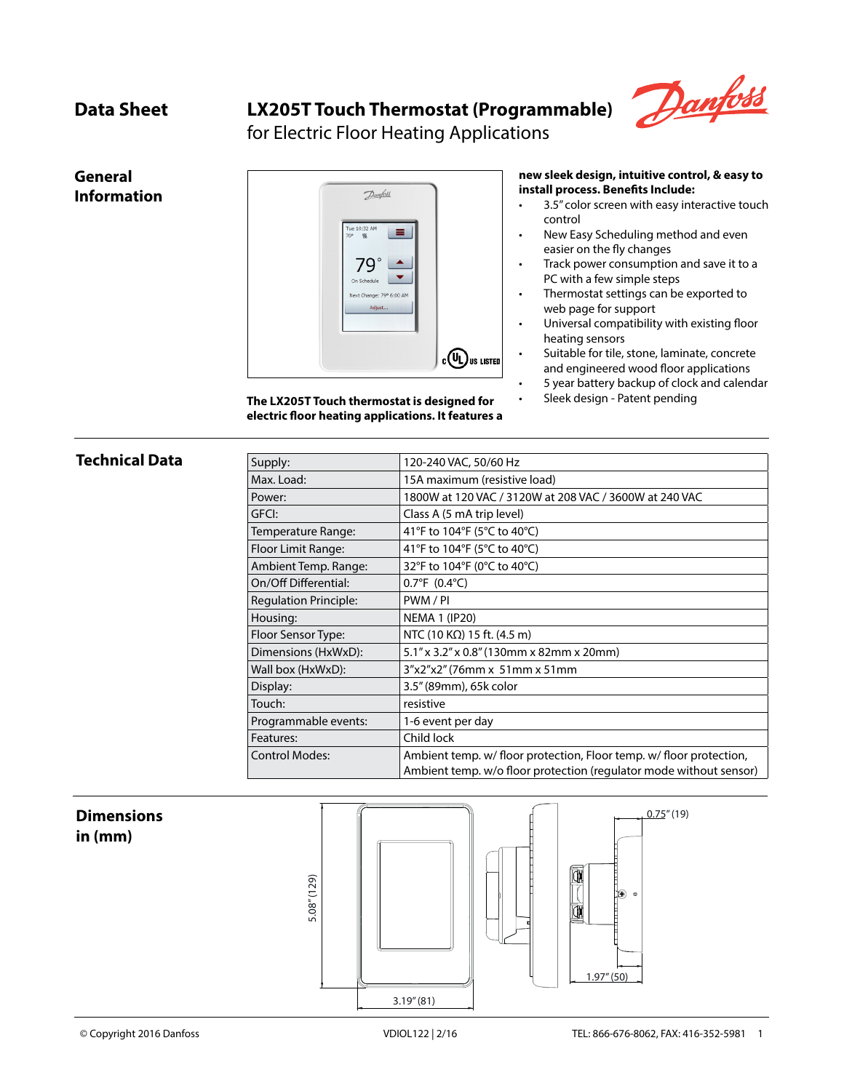**General Information**

# **Data Sheet LX205T Touch Thermostat (Programmable)**



for Electric Floor Heating Applications



**The LX205T Touch thermostat is designed for electric floor heating applications. It features a** 

#### **new sleek design, intuitive control, & easy to install process. Benefits Include:**

- 3.5" color screen with easy interactive touch control
- New Easy Scheduling method and even easier on the fly changes
- Track power consumption and save it to a PC with a few simple steps
- Thermostat settings can be exported to web page for support
- Universal compatibility with existing floor heating sensors
- Suitable for tile, stone, laminate, concrete and engineered wood floor applications
	- 5 year battery backup of clock and calendar
- Sleek design Patent pending

### **Technical Data**

| Supply:                      | 120-240 VAC, 50/60 Hz                                               |  |  |
|------------------------------|---------------------------------------------------------------------|--|--|
| Max. Load:                   | 15A maximum (resistive load)                                        |  |  |
| Power:                       | 1800W at 120 VAC / 3120W at 208 VAC / 3600W at 240 VAC              |  |  |
| GFCI:                        | Class A (5 mA trip level)                                           |  |  |
| Temperature Range:           | 41°F to 104°F (5°C to 40°C)                                         |  |  |
| Floor Limit Range:           | 41°F to 104°F (5°C to 40°C)                                         |  |  |
| Ambient Temp. Range:         | 32°F to 104°F (0°C to 40°C)                                         |  |  |
| On/Off Differential:         | $0.7^{\circ}F(0.4^{\circ}C)$                                        |  |  |
| <b>Regulation Principle:</b> | PWM/PI                                                              |  |  |
| Housing:                     | <b>NEMA 1 (IP20)</b>                                                |  |  |
| Floor Sensor Type:           | NTC (10 K $\Omega$ ) 15 ft. (4.5 m)                                 |  |  |
| Dimensions (HxWxD):          | 5.1" x 3.2" x 0.8" (130mm x 82mm x 20mm)                            |  |  |
| Wall box (HxWxD):            | 3"x2"x2" (76mm x 51mm x 51mm                                        |  |  |
| Display:                     | 3.5" (89mm), 65k color                                              |  |  |
| Touch:                       | resistive                                                           |  |  |
| Programmable events:         | 1-6 event per day                                                   |  |  |
| Features:                    | Child lock                                                          |  |  |
| <b>Control Modes:</b>        | Ambient temp. w/ floor protection, Floor temp. w/ floor protection, |  |  |
|                              | Ambient temp. w/o floor protection (regulator mode without sensor)  |  |  |

## **Dimensions in (mm)**